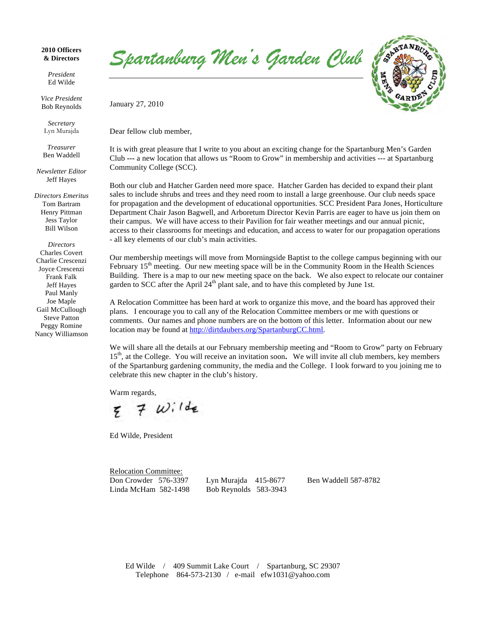## **2010 Officers & Directors**

*President* Ed Wilde

*Vice President* Bob Reynolds

*Secretary* Lyn Murajda

*Treasurer* Ben Waddell

*Newsletter Editor* Jeff Hayes

*Directors Emeritus* Tom Bartram Henry Pittman Jess Taylor Bill Wilson

*Directors* Charles Covert Charlie Crescenzi Joyce Crescenzi Frank Falk Jeff Hayes Paul Manly Joe Maple Gail McCullough Steve Patton Peggy Romine Nancy Williamson Spartanburg Men's Garden Club

January 27, 2010

Dear fellow club member,

It is with great pleasure that I write to you about an exciting change for the Spartanburg Men's Garden Club **---** a new location that allows us "Room to Grow" in membership and activities --- at Spartanburg Community College (SCC).

Both our club and Hatcher Garden need more space. Hatcher Garden has decided to expand their plant sales to include shrubs and trees and they need room to install a large greenhouse. Our club needs space for propagation and the development of educational opportunities. SCC President Para Jones, Horticulture Department Chair Jason Bagwell, and Arboretum Director Kevin Parris are eager to have us join them on their campus. We will have access to their Pavilion for fair weather meetings and our annual picnic, access to their classrooms for meetings and education, and access to water for our propagation operations - all key elements of our club's main activities.

Our membership meetings will move from Morningside Baptist to the college campus beginning with our February  $15<sup>th</sup>$  meeting. Our new meeting space will be in the Community Room in the Health Sciences Building. There is a map to our new meeting space on the back. We also expect to relocate our container garden to SCC after the April 24<sup>th</sup> plant sale, and to have this completed by June 1st.

A Relocation Committee has been hard at work to organize this move, and the board has approved their plans. I encourage you to call any of the Relocation Committee members or me with questions or comments. Our names and phone numbers are on the bottom of this letter. Information about our new location may be found at http://dirtdaubers.org/SpartanburgCC.html.

We will share all the details at our February membership meeting and "Room to Grow" party on February 15<sup>th</sup>, at the College. You will receive an invitation soon. We will invite all club members, key members of the Spartanburg gardening community, the media and the College. I look forward to you joining me to celebrate this new chapter in the club's history.

Warm regards,

 $7 w:146$ 

Ed Wilde, President

Relocation Committee: Don Crowder 576-3397 Lyn Murajda 415-8677 Ben Waddell 587-8782 Linda McHam 582-1498 Bob Reynolds 583-3943

Ed Wilde / 409 Summit Lake Court / Spartanburg, SC 29307 Telephone 864-573-2130 / e-mail efw1031@yahoo.com